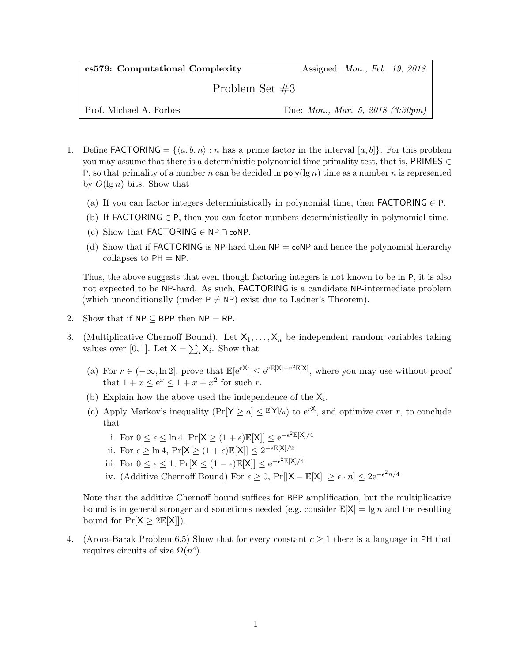cs579: Computational Complexity Assigned: Mon., Feb. 19, 2018

Problem Set #3

Prof. Michael A. Forbes Due: Mon., Mar. 5, 2018 (3:30pm)

- 1. Define FACTORING =  $\{\langle a, b, n \rangle : n$  has a prime factor in the interval  $[a, b]$ . For this problem you may assume that there is a deterministic polynomial time primality test, that is, PRIMES  $\in$ P, so that primality of a number n can be decided in  $poly(\lg n)$  time as a number n is represented by  $O(\lg n)$  bits. Show that
	- (a) If you can factor integers deterministically in polynomial time, then **FACTORING**  $\in$  **P**.
	- (b) If FACTORING  $\in$  P, then you can factor numbers deterministically in polynomial time.
	- (c) Show that FACTORING  $\in$  NP  $\cap$  coNP.
	- (d) Show that if **FACTORING** is  $NP$ -hard then  $NP = \text{coNP}$  and hence the polynomial hierarchy collapses to  $PH = NP$ .

Thus, the above suggests that even though factoring integers is not known to be in P, it is also not expected to be NP-hard. As such, FACTORING is a candidate NP-intermediate problem (which unconditionally (under  $P \neq NP$ ) exist due to Ladner's Theorem).

- 2. Show that if  $NP \subseteq BPP$  then  $NP = RP$ .
- 3. (Multiplicative Chernoff Bound). Let  $X_1, \ldots, X_n$  be independent random variables taking values over [0, 1]. Let  $X = \sum_i X_i$ . Show that
	- (a) For  $r \in (-\infty, \ln 2]$ , prove that  $\mathbb{E}[e^{rX}] \leq e^{r\mathbb{E}[X]+r^2\mathbb{E}[X]}$ , where you may use-without-proof that  $1 + x \le e^x \le 1 + x + x^2$  for such r.
	- (b) Explain how the above used the independence of the  $X_i$ .
	- (c) Apply Markov's inequality  $(\Pr[Y \ge a] \le E[Y]/a)$  to  $e^{rX}$ , and optimize over r, to conclude that
		- i. For  $0 \leq \epsilon \leq \ln 4$ ,  $\Pr[X \geq (1 + \epsilon)\mathbb{E}[X]] \leq e^{-\epsilon^2 \mathbb{E}[X]/4}$
		- ii. For  $\epsilon \geq \ln 4$ ,  $\Pr[X \geq (1 + \epsilon)\mathbb{E}[X]] \leq 2^{-\epsilon \mathbb{E}[X]/2}$
		- iii. For  $0 \leq \epsilon \leq 1$ ,  $Pr[X \leq (1 \epsilon) \mathbb{E}[X]] \leq e^{-\epsilon^2 \mathbb{E}[X]/4}$
		- iv. (Additive Chernoff Bound) For  $\epsilon \geq 0$ ,  $Pr[|X \mathbb{E}[X]| \geq \epsilon \cdot n] \leq 2e^{-\epsilon^2 n/4}$

Note that the additive Chernoff bound suffices for BPP amplification, but the multiplicative bound is in general stronger and sometimes needed (e.g. consider  $\mathbb{E}[X] = \lg n$  and the resulting bound for  $Pr[X \geq 2E[X]]$ .

4. (Arora-Barak Problem 6.5) Show that for every constant  $c \geq 1$  there is a language in PH that requires circuits of size  $\Omega(n^c)$ .